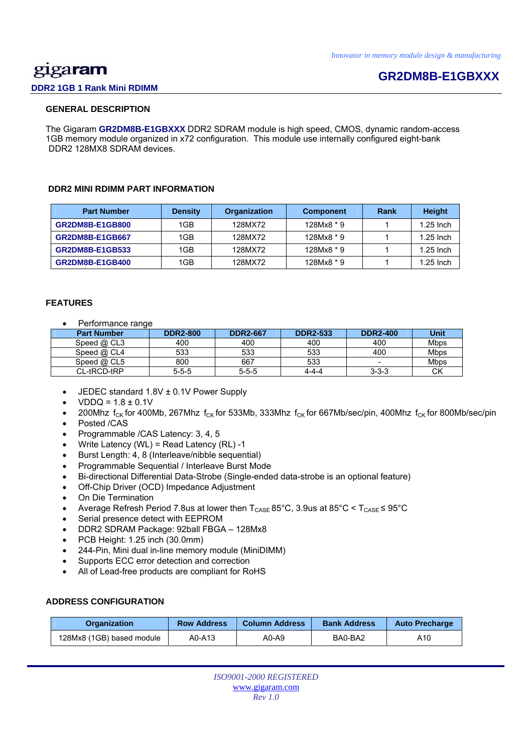# <u>gig</u>aram

# **GR2DM8B-E1GBXXX**

## **DDR2 1GB 1 Rank Mini RDIMM**

### **GENERAL DESCRIPTION**

 The Gigaram **GR2DM8B-E1GBXXX** DDR2 SDRAM module is high speed, CMOS, dynamic random-access 1GB memory module organized in x72 configuration. This module use internally configured eight-bank DDR2 128MX8 SDRAM devices.

#### **DDR2 MINI RDIMM PART INFORMATION**

| <b>Part Number</b>     | <b>Density</b> | Organization | <b>Component</b> | Rank | <b>Height</b> |
|------------------------|----------------|--------------|------------------|------|---------------|
| <b>GR2DM8B-E1GB800</b> | 1GB            | 128MX72      | $128Mx8 * 9$     |      | $1.25$ Inch   |
| <b>GR2DM8B-E1GB667</b> | 1GB            | 128MX72      | $128Mx8 * 9$     |      | $1.25$ Inch   |
| GR2DM8B-E1GB533        | 1GB            | 128MX72      | 128Mx8 * 9       |      | $1.25$ Inch   |
| <b>GR2DM8B-E1GB400</b> | 1GB            | 128MX72      | $128Mx8 * 9$     |      | $1.25$ Inch   |

### **FEATURES**

Performance range

| <b>Part Number</b> | <b>DDR2-800</b> | <b>DDR2-667</b> | <b>DDR2-533</b> | <b>DDR2-400</b>          | Unit        |
|--------------------|-----------------|-----------------|-----------------|--------------------------|-------------|
| Speed $@$ CL3      | 400             | 400             | 400             | 400                      | <b>Mbps</b> |
| Speed $@$ CL4      | 533             | 533             | 533             | 400                      | Mbps        |
| Speed $@$ CL5      | 800             | 667             | 533             | $\overline{\phantom{0}}$ | Mbps        |
| CL-tRCD-tRP        | $5 - 5 - 5$     | $5 - 5 - 5$     | 4-4-4           | $3 - 3 - 3$              | СK          |

- JEDEC standard 1.8V ± 0.1V Power Supply
- $VDDQ = 1.8 \pm 0.1V$
- 200Mhz  $f_{CK}$  for 400Mb, 267Mhz  $f_{CK}$  for 533Mb, 333Mhz  $f_{CK}$  for 667Mb/sec/pin, 400Mhz  $f_{CK}$  for 800Mb/sec/pin
- Posted /CAS
- Programmable /CAS Latency: 3, 4, 5
- Write Latency (WL) = Read Latency (RL) -1
- Burst Length: 4, 8 (Interleave/nibble sequential)
- Programmable Sequential / Interleave Burst Mode
- Bi-directional Differential Data-Strobe (Single-ended data-strobe is an optional feature)
- Off-Chip Driver (OCD) Impedance Adjustment
- On Die Termination
- Average Refresh Period 7.8us at lower then  $T_{\text{CASE}}$  85°C, 3.9us at 85°C <  $T_{\text{CASE}}$  ≤ 95°C
- Serial presence detect with EEPROM
- DDR2 SDRAM Package: 92ball FBGA 128Mx8
- PCB Height: 1.25 inch (30.0mm)
- 244-Pin, Mini dual in-line memory module (MiniDIMM)
- Supports ECC error detection and correction
- All of Lead-free products are compliant for RoHS

## **ADDRESS CONFIGURATION**

| Organization              | <b>Row Address</b> |       | <b>Bank Address</b> | <b>Auto Precharge</b> |  |
|---------------------------|--------------------|-------|---------------------|-----------------------|--|
| 128Mx8 (1GB) based module | A0-A13             | A0-A9 | BA0-BA2             | A10                   |  |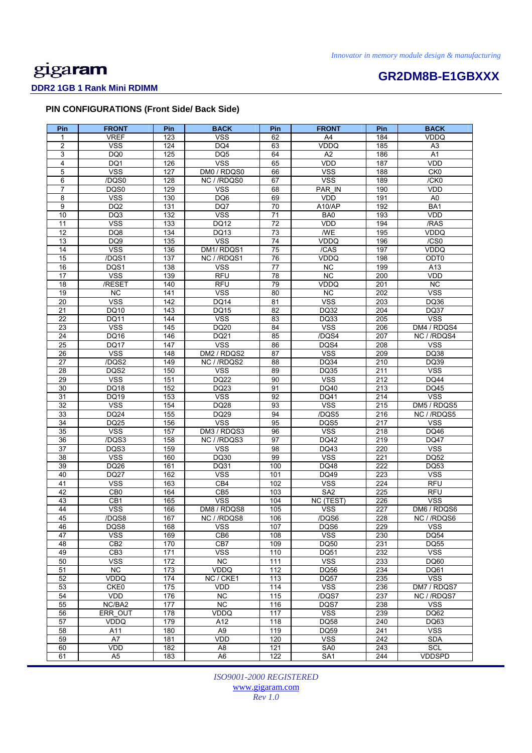# **GR2DM8B-E1GBXXX DDR2 1GB 1 Rank Mini RDIMM**

# **PIN CONFIGURATIONS (Front Side/ Back Side)**

| Pin             | <b>FRONT</b>    | Pin        | <b>BACK</b>     | Pin             | <b>FRONT</b>    | <b>Pin</b> | <b>BACK</b>             |
|-----------------|-----------------|------------|-----------------|-----------------|-----------------|------------|-------------------------|
| 1               | <b>VREF</b>     | 123        | <b>VSS</b>      | 62              | A4              | 184        | <b>VDDQ</b>             |
| $\overline{2}$  | <b>VSS</b>      | 124        | DQ4             | 63              | <b>VDDQ</b>     | 185        | A <sub>3</sub>          |
| 3               | DQ0             | 125        | DQ <sub>5</sub> | 64              | A2              | 186        | A1                      |
| 4               | DQ1             | 126        | <b>VSS</b>      | 65              | <b>VDD</b>      | 187        | VDD                     |
| 5               | <b>VSS</b>      | 127        | DM0 / RDQS0     | 66              | <b>VSS</b>      | 188        | CK <sub>0</sub>         |
| 6               | /DQS0           | 128        | NC / /RDQS0     | 67              | <b>VSS</b>      | 189        | /CK0                    |
| $\overline{7}$  | DQS0            | 129        | <b>VSS</b>      | 68              | PAR_IN          | 190        | <b>VDD</b>              |
| 8               | <b>VSS</b>      | 130        | DQ6             | 69              | <b>VDD</b>      | 191        | A <sub>0</sub>          |
| 9               |                 |            | DQ7             |                 | A10/AP          |            | BA1                     |
| 10              | DQ <sub>2</sub> | 131<br>132 |                 | 70<br>71        |                 | 192<br>193 | VDD                     |
|                 | DQ3             |            | <b>VSS</b>      |                 | BA0             |            |                         |
| 11              | <b>VSS</b>      | 133        | DQ12            | 72              | VDD             | 194        | /RAS                    |
| 12              | DQ8             | 134        | DQ13            | 73              | /WE             | 195        | VDDQ                    |
| 13              | DQ <sub>9</sub> | 135        | <b>VSS</b>      | 74              | <b>VDDQ</b>     | 196        | /CS0                    |
| 14              | <b>VSS</b>      | 136        | DM1/RDQS1       | $\overline{75}$ | /CAS            | 197        | <b>VDDQ</b>             |
| 15              | /DQS1           | 137        | NC / /RDQS1     | 76              | VDDQ            | 198        | ODT0                    |
| 16              | DQS1            | 138        | <b>VSS</b>      | $\overline{77}$ | $\overline{NC}$ | 199        | A13                     |
| 17              | <b>VSS</b>      | 139        | <b>RFU</b>      | 78              | <b>NC</b>       | 200        | VDD                     |
| 18              | /RESET          | 140        | <b>RFU</b>      | 79              | VDDQ            | 201        | <b>NC</b>               |
| 19              | NC              | 141        | <b>VSS</b>      | 80              | <b>NC</b>       | 202        | <b>VSS</b>              |
| 20              | <b>VSS</b>      | 142        | <b>DQ14</b>     | 81              | <b>VSS</b>      | 203        | DQ36                    |
| 21              | DQ10            | 143        | DQ15            | 82              | DQ32            | 204        | <b>DQ37</b>             |
| 22              | DQ11            | 144        | <b>VSS</b>      | 83              | DQ33            | 205        | <b>VSS</b>              |
| 23              | <b>VSS</b>      | 145        | DQ20            | 84              | <b>VSS</b>      | 206        | DM4 / RDQS4             |
| $\overline{24}$ | DQ16            | 146        | DQ21            | 85              | /DQS4           | 207        | NC //RDQS4              |
| 25              | <b>DQ17</b>     | 147        | <b>VSS</b>      | 86              | DQS4            | 208        | <b>VSS</b>              |
| 26              | <b>VSS</b>      | 148        | DM2 / RDQS2     | 87              | <b>VSS</b>      | 209        | <b>DQ38</b>             |
| 27              | /DQS2           | 149        | NC / /RDQS2     | 88              | DQ34            | 210        | DQ39                    |
|                 |                 |            |                 |                 |                 |            |                         |
| 28              | DQS2            | 150        | <b>VSS</b>      | 89              | DQ35            | 211        | <b>VSS</b>              |
| 29              | <b>VSS</b>      | 151        | DQ22            | 90              | <b>VSS</b>      | 212        | <b>DQ44</b>             |
| 30              | DQ18            | 152        | DQ23            | 91              | DQ40            | 213        | DQ45                    |
| 31              | <b>DQ19</b>     | 153        | <b>VSS</b>      | 92              | DQ41            | 214        | $\overline{\text{VSS}}$ |
| 32              | <b>VSS</b>      | 154        | DQ28            | 93              | <b>VSS</b>      | 215        | DM5 / RDQS5             |
| 33              | <b>DQ24</b>     | 155        | DQ29            | 94              | /DQS5           | 216        | NC / /RDQS5             |
| 34              | <b>DQ25</b>     | 156        | <b>VSS</b>      | 95              | DQS5            | 217        | <b>VSS</b>              |
| 35              | <b>VSS</b>      | 157        | DM3 / RDQS3     | 96              | <b>VSS</b>      | 218        | DQ46                    |
| 36              | /DQS3           | 158        | NC / /RDQS3     | 97              | <b>DQ42</b>     | 219        | <b>DQ47</b>             |
| 37              | DQS3            | 159        | <b>VSS</b>      | 98              | DQ43            | 220        | <b>VSS</b>              |
| 38              | <b>VSS</b>      | 160        | DQ30            | 99              | <b>VSS</b>      | 221        | DQ52                    |
| 39              | DQ26            | 161        | DQ31            | 100             | <b>DQ48</b>     | 222        | <b>DQ53</b>             |
| 40              | <b>DQ27</b>     | 162        | <b>VSS</b>      | 101             | DQ49            | 223        | <b>VSS</b>              |
| 41              | <b>VSS</b>      | 163        | CB4             | 102             | <b>VSS</b>      | 224        | <b>RFU</b>              |
| 42              | CB <sub>0</sub> | 164        | CB <sub>5</sub> | 103             | SA <sub>2</sub> | 225        | <b>RFU</b>              |
| 43              | CB1             | 165        | <b>VSS</b>      | 104             | NC (TEST)       | 226        | <b>VSS</b>              |
| 44              | <b>VSS</b>      | 166        | DM8 / RDQS8     | 105             | <b>VSS</b>      | 227        | DM6 / RDQS6             |
| 45              | /DQS8           | 167        | NC //RDQS8      | 106             | /DQS6           | 228        | NC / /RDQS6             |
| 46              | DQS8            | 168        | <b>VSS</b>      | 107             | DQS6            | 229        | <b>VSS</b>              |
| 47              | <b>VSS</b>      | 169        | CB <sub>6</sub> | 108             | <b>VSS</b>      | 230        | DQ54                    |
| 48              | CB <sub>2</sub> | 170        | CB7             | 109             | DQ50            | 231        | <b>DQ55</b>             |
| 49              | CB3             | 171        | <b>VSS</b>      | 110             | <b>DQ51</b>     | 232        | <b>VSS</b>              |
| 50              | <b>VSS</b>      | 172        | NC              | 111             | <b>VSS</b>      | 233        | DQ60                    |
|                 |                 |            |                 |                 |                 |            |                         |
| 51              | $\overline{NC}$ | 173        | VDDQ            | 112             | DQ56            | 234        | DQ61                    |
| 52              | VDDQ            | 174        | NC / CKE1       | 113             | <b>DQ57</b>     | 235        | $\overline{\text{VSS}}$ |
| 53              | CKE0            | 175        | VDD             | 114             | <b>VSS</b>      | 236        | DM7 / RDQS7             |
| 54              | VDD             | 176        | NC              | 115             | /DQS7           | 237        | NC / /RDQS7             |
| 55              | NC/BA2          | 177        | NC              | 116             | DQS7            | 238        | <b>VSS</b>              |
| 56              | ERR_OUT         | 178        | VDDQ            | 117             | <b>VSS</b>      | 239        | DQ62                    |
| 57              | VDDQ            | 179        | A12             | 118             | <b>DQ58</b>     | 240        | DQ63                    |
| 58              | A11             | 180        | A <sub>9</sub>  | 119             | <b>DQ59</b>     | 241        | <b>VSS</b>              |
| 59              | A7              | 181        | VDD             | 120             | <b>VSS</b>      | 242        | <b>SDA</b>              |
| 60              | VDD             | 182        | A <sub>8</sub>  | 121             | SA0             | 243        | SCL                     |
| 61              | A <sub>5</sub>  | 183        | A <sub>6</sub>  | 122             | SA <sub>1</sub> | 244        | <b>VDDSPD</b>           |

*ISO9001-2000 REGISTERED*  www.gigaram.com *Rev 1.0*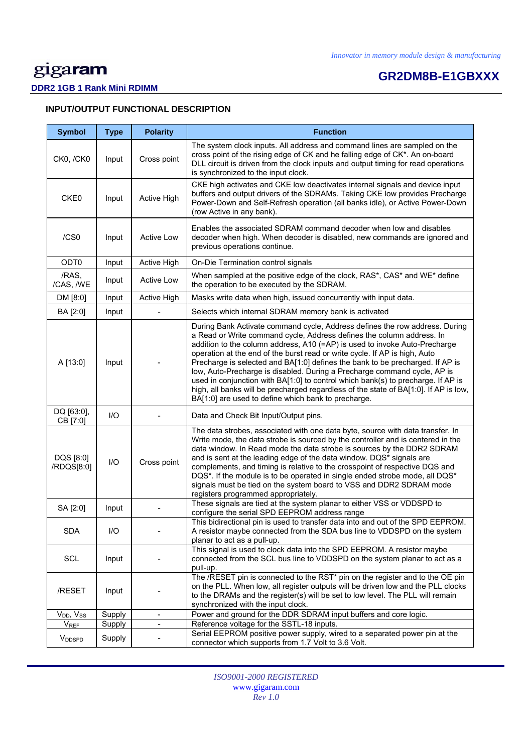# **GR2DM8B-E1GBXXX**

# **DDR2 1GB 1 Rank Mini RDIMM**

| <b>INPUT/OUTPUT FUNCTIONAL DESCRIPTION</b> |  |
|--------------------------------------------|--|
|--------------------------------------------|--|

| <b>Symbol</b>             | <b>Type</b> | <b>Polarity</b>              | <b>Function</b>                                                                                                                                                                                                                                                                                                                                                                                                                                                                                                                                                                                                                                                                                                  |
|---------------------------|-------------|------------------------------|------------------------------------------------------------------------------------------------------------------------------------------------------------------------------------------------------------------------------------------------------------------------------------------------------------------------------------------------------------------------------------------------------------------------------------------------------------------------------------------------------------------------------------------------------------------------------------------------------------------------------------------------------------------------------------------------------------------|
| CK0, /CK0                 | Input       | Cross point                  | The system clock inputs. All address and command lines are sampled on the<br>cross point of the rising edge of CK and he falling edge of CK*. An on-board<br>DLL circuit is driven from the clock inputs and output timing for read operations<br>is synchronized to the input clock.                                                                                                                                                                                                                                                                                                                                                                                                                            |
| CKE0                      | Input       | Active High                  | CKE high activates and CKE low deactivates internal signals and device input<br>buffers and output drivers of the SDRAMs. Taking CKE low provides Precharge<br>Power-Down and Self-Refresh operation (all banks idle), or Active Power-Down<br>(row Active in any bank).                                                                                                                                                                                                                                                                                                                                                                                                                                         |
| /CS0                      | Input       | <b>Active Low</b>            | Enables the associated SDRAM command decoder when low and disables<br>decoder when high. When decoder is disabled, new commands are ignored and<br>previous operations continue.                                                                                                                                                                                                                                                                                                                                                                                                                                                                                                                                 |
| ODT <sub>0</sub>          | Input       | Active High                  | On-Die Termination control signals                                                                                                                                                                                                                                                                                                                                                                                                                                                                                                                                                                                                                                                                               |
| /RAS,<br>/CAS, /WE        | Input       | <b>Active Low</b>            | When sampled at the positive edge of the clock, RAS*, CAS* and WE* define<br>the operation to be executed by the SDRAM.                                                                                                                                                                                                                                                                                                                                                                                                                                                                                                                                                                                          |
| DM [8:0]                  | Input       | Active High                  | Masks write data when high, issued concurrently with input data.                                                                                                                                                                                                                                                                                                                                                                                                                                                                                                                                                                                                                                                 |
| BA [2:0]                  | Input       |                              | Selects which internal SDRAM memory bank is activated                                                                                                                                                                                                                                                                                                                                                                                                                                                                                                                                                                                                                                                            |
| A [13:0]                  | Input       |                              | During Bank Activate command cycle, Address defines the row address. During<br>a Read or Write command cycle, Address defines the column address. In<br>addition to the column address, A10 (=AP) is used to invoke Auto-Precharge<br>operation at the end of the burst read or write cycle. If AP is high, Auto<br>Precharge is selected and BA[1:0] defines the bank to be precharged. If AP is<br>low, Auto-Precharge is disabled. During a Precharge command cycle, AP is<br>used in conjunction with BA[1:0] to control which bank(s) to precharge. If AP is<br>high, all banks will be precharged regardless of the state of BA[1:0]. If AP is low,<br>BA[1:0] are used to define which bank to precharge. |
| DQ [63:0],<br>CB [7:0]    | I/O         |                              | Data and Check Bit Input/Output pins.                                                                                                                                                                                                                                                                                                                                                                                                                                                                                                                                                                                                                                                                            |
| DQS [8:0]<br>/RDQS[8:0]   | I/O         | Cross point                  | The data strobes, associated with one data byte, source with data transfer. In<br>Write mode, the data strobe is sourced by the controller and is centered in the<br>data window. In Read mode the data strobe is sources by the DDR2 SDRAM<br>and is sent at the leading edge of the data window. DQS* signals are<br>complements, and timing is relative to the crosspoint of respective DQS and<br>DQS*. If the module is to be operated in single ended strobe mode, all DQS*<br>signals must be tied on the system board to VSS and DDR2 SDRAM mode<br>registers programmed appropriately.                                                                                                                  |
| SA [2:0]                  | Input       |                              | These signals are tied at the system planar to either VSS or VDDSPD to<br>configure the serial SPD EEPROM address range                                                                                                                                                                                                                                                                                                                                                                                                                                                                                                                                                                                          |
| <b>SDA</b>                | I/O         |                              | This bidirectional pin is used to transfer data into and out of the SPD EEPROM.<br>A resistor maybe connected from the SDA bus line to VDDSPD on the system<br>planar to act as a pull-up.                                                                                                                                                                                                                                                                                                                                                                                                                                                                                                                       |
| <b>SCL</b>                | Input       |                              | This signal is used to clock data into the SPD EEPROM. A resistor maybe<br>connected from the SCL bus line to VDDSPD on the system planar to act as a<br>pull-up.                                                                                                                                                                                                                                                                                                                                                                                                                                                                                                                                                |
| /RESET                    | Input       |                              | The /RESET pin is connected to the RST* pin on the register and to the OE pin<br>on the PLL. When low, all register outputs will be driven low and the PLL clocks<br>to the DRAMs and the register(s) will be set to low level. The PLL will remain<br>synchronized with the input clock.                                                                                                                                                                                                                                                                                                                                                                                                                        |
| $V_{DD}$ , $V_{SS}$       | Supply      | $\blacksquare$               | Power and ground for the DDR SDRAM input buffers and core logic.                                                                                                                                                                                                                                                                                                                                                                                                                                                                                                                                                                                                                                                 |
| $V_{REF}$                 | Supply      | $\qquad \qquad \blacksquare$ | Reference voltage for the SSTL-18 inputs.<br>Serial EEPROM positive power supply, wired to a separated power pin at the                                                                                                                                                                                                                                                                                                                                                                                                                                                                                                                                                                                          |
| <b>V</b> <sub>DDSPD</sub> | Supply      |                              | connector which supports from 1.7 Volt to 3.6 Volt.                                                                                                                                                                                                                                                                                                                                                                                                                                                                                                                                                                                                                                                              |

*ISO9001-2000 REGISTERED*  www.gigaram.com *Rev 1.0*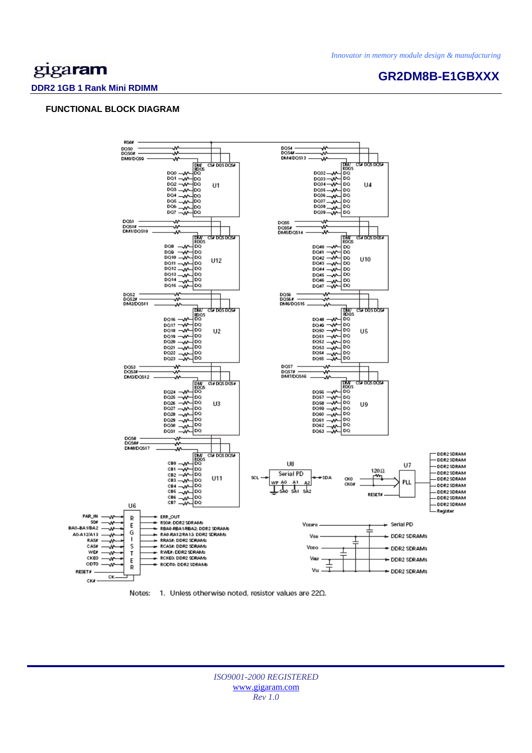**GR2DM8B-E1GBXXX** 

# gigaram

#### **DDR2 1GB 1 Rank Mini RDIMM**

## **FUNCTIONAL BLOCK DIAGRAM**





*ISO9001-2000 REGISTERED*  www.gigaram.com *Rev 1.0*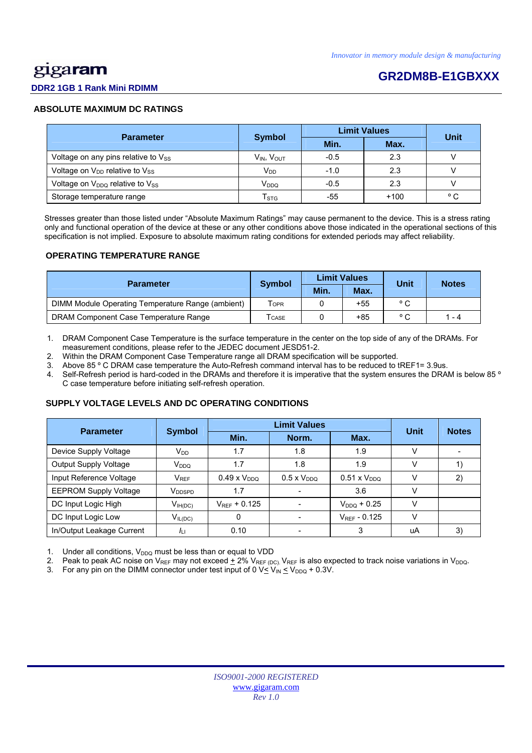# <u>gig</u>aram

# **GR2DM8B-E1GBXXX**

# **DDR2 1GB 1 Rank Mini RDIMM**

## **ABSOLUTE MAXIMUM DC RATINGS**

| <b>Parameter</b>                           | <b>Symbol</b>        | <b>Limit Values</b> | Unit   |              |  |
|--------------------------------------------|----------------------|---------------------|--------|--------------|--|
|                                            |                      | Min.                | Max.   |              |  |
| Voltage on any pins relative to $V_{SS}$   | $V_{IN}$ , $V_{OUT}$ | $-0.5$              | 2.3    |              |  |
| Voltage on V <sub>DD</sub> relative to Vss | V <sub>DD</sub>      | $-1.0$              | 2.3    |              |  |
| Voltage on $V_{DDQ}$ relative to $V_{SS}$  | V <sub>DDQ</sub>     | $-0.5$              | 2.3    |              |  |
| Storage temperature range                  | $T_{\text{STG}}$     | -55                 | $+100$ | $^{\circ}$ C |  |

 Stresses greater than those listed under "Absolute Maximum Ratings" may cause permanent to the device. This is a stress rating only and functional operation of the device at these or any other conditions above those indicated in the operational sections of this specification is not implied. Exposure to absolute maximum rating conditions for extended periods may affect reliability.

### **OPERATING TEMPERATURE RANGE**

| <b>Parameter</b>                                  | <b>Symbol</b>              |      | <b>Limit Values</b> | Unit         | <b>Notes</b> |  |
|---------------------------------------------------|----------------------------|------|---------------------|--------------|--------------|--|
|                                                   |                            | Min. | Max.                |              |              |  |
| DIMM Module Operating Temperature Range (ambient) | <b>TOPR</b>                |      | $+55$               | $^{\circ}$ C |              |  |
| DRAM Component Case Temperature Range             | $\mathsf{T}_\mathsf{CASE}$ |      | +85                 | $^{\circ}$   | 1 - 4        |  |

1. DRAM Component Case Temperature is the surface temperature in the center on the top side of any of the DRAMs. For measurement conditions, please refer to the JEDEC document JESD51-2.

2. Within the DRAM Component Case Temperature range all DRAM specification will be supported.

3. Above 85 º C DRAM case temperature the Auto-Refresh command interval has to be reduced to tREF1= 3.9us.

4. Self-Refresh period is hard-coded in the DRAMs and therefore it is imperative that the system ensures the DRAM is below 85 º C case temperature before initiating self-refresh operation.

## **SUPPLY VOLTAGE LEVELS AND DC OPERATING CONDITIONS**

| <b>Parameter</b>             | <b>Symbol</b>      |                       | Unit                 | <b>Notes</b>          |        |    |
|------------------------------|--------------------|-----------------------|----------------------|-----------------------|--------|----|
|                              |                    | Min.                  | Norm.                | Max.                  |        |    |
| Device Supply Voltage        | $V_{DD}$           | 1.7                   | 1.8                  | 1.9                   | $\vee$ |    |
| <b>Output Supply Voltage</b> | V <sub>DDQ</sub>   | 1.7                   | 1.8                  | 1.9                   | v      |    |
| Input Reference Voltage      | $V_{REF}$          | $0.49 \times V_{DDQ}$ | $0.5 \times V_{DDO}$ | $0.51 \times V_{DDO}$ | v      | 2) |
| <b>EEPROM Supply Voltage</b> | V <sub>DDSPD</sub> | 1.7                   |                      | 3.6                   | v      |    |
| DC Input Logic High          | $V_{IH(DC)}$       | $V_{REF}$ + 0.125     |                      | $V_{DDQ}$ + 0.25      | $\vee$ |    |
| DC Input Logic Low           | $V_{IL(DC)}$       | 0                     |                      | $V_{REF}$ - 0.125     | v      |    |
| In/Output Leakage Current    | $I_{L1}$           | 0.10                  |                      | 3                     | uA     | 3) |

1. Under all conditions,  $V_{DDQ}$  must be less than or equal to VDD

2. Peak to peak AC noise on  $V_{REF}$  may not exceed  $\pm$  2%  $V_{REF}$  (DC).  $V_{REF}$  is also expected to track noise variations in  $V_{DDQ}$ .

3. For any pin on the DIMM connector under test input of 0  $V \leq V_{IN} \leq V_{DDQ} + 0.3V$ .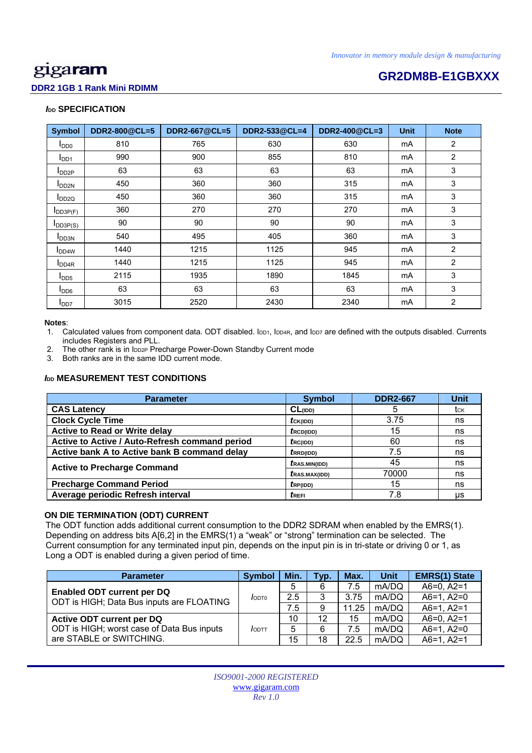# **GR2DM8B-E1GBXXX**

# **DDR2 1GB 1 Rank Mini RDIMM**

# *I***<sub>DD</sub> SPECIFICATION**

| <b>Symbol</b>             | DDR2-800@CL=5 | <b>DDR2-667@CL=5</b> | DDR2-533@CL=4<br>DDR2-400@CL=3 |      | <b>Unit</b> | <b>Note</b>    |
|---------------------------|---------------|----------------------|--------------------------------|------|-------------|----------------|
| $I_{DD0}$                 | 810           | 765                  | 630                            | 630  | mA          | $\overline{2}$ |
| I <sub>DD1</sub>          | 990           | 900                  | 855                            | 810  | mA          | $\overline{2}$ |
| $I_{DD2P}$                | 63            | 63                   | 63                             | 63   | mA          | 3              |
| $I_{DD2N}$                | 450           | 360                  | 360                            | 315  | mA          | 3              |
| $I_{DD2Q}$                | 450           | 360                  | 360                            | 315  |             | 3              |
| $I$ <sub>DD3P(F)</sub>    | 360           | 270                  | 270                            | 270  | mA          | 3              |
| $I_{DD3P(S)}$             | 90            | 90                   | 90                             | 90   | mA          | 3              |
| I <sub>DD3N</sub>         | 540           | 495                  | 405                            | 360  | mA          | 3              |
| I <sub>DD4W</sub>         | 1440          | 1215                 | 1125                           | 945  | mA          | 2              |
| <b>I</b> DD <sub>4R</sub> | 1440          | 1215                 | 1125                           | 945  | mA          | $\overline{2}$ |
| $I_{DD5}$                 | 2115          | 1935                 | 1890                           | 1845 | mA          | 3              |
| <b>I</b> DD <sub>6</sub>  | 63            | 63                   | 63                             | 63   | mA          | 3              |
| I <sub>DD7</sub>          | 3015          | 2520                 | 2430                           | 2340 | mA          | $\overline{c}$ |

#### **Notes**:

1. Calculated values from component data. ODT disabled. IDD1, IDD4R, and IDD7 are defined with the outputs disabled. Currents includes Registers and PLL.

2. The other rank is in loozp Precharge Power-Down Standby Current mode

3. Both ranks are in the same IDD current mode.

# *I***<sub>DD</sub> MEASUREMENT TEST CONDITIONS**

| <b>Parameter</b>                               | <b>Symbol</b>         | <b>DDR2-667</b> | <b>Unit</b> |
|------------------------------------------------|-----------------------|-----------------|-------------|
| <b>CAS Latency</b>                             | $CL$ (IDD)            | 5               | tck         |
| <b>Clock Cycle Time</b>                        | $tc_{K(IDD)}$         | 3.75            | ns          |
| <b>Active to Read or Write delay</b>           | $t_{\text{RCD(IDD)}}$ | 15              | ns          |
| Active to Active / Auto-Refresh command period | fc(1DD)               | 60              | ns          |
| Active bank A to Active bank B command delay   | $t_{RRD(IDD)}$        | 7.5             | ns          |
| <b>Active to Precharge Command</b>             | <i>t</i> RAS.MIN(IDD) | 45              | ns          |
|                                                | <i>t</i> RAS.MAX(IDD) | 70000           | ns          |
| <b>Precharge Command Period</b>                | $t_{RP(IDD)}$         | 15              | ns          |
| Average periodic Refresh interval              | trefi                 | 7.8             | us          |

# **ON DIE TERMINATION (ODT) CURRENT**

 The ODT function adds additional current consumption to the DDR2 SDRAM when enabled by the EMRS(1). Depending on address bits A[6,2] in the EMRS(1) a "weak" or "strong" termination can be selected. The Current consumption for any terminated input pin, depends on the input pin is in tri-state or driving 0 or 1, as Long a ODT is enabled during a given period of time.

| <b>Parameter</b>                           | <b>Symbol</b> | Min. | Typ. | Max.  | Unit  | <b>EMRS(1) State</b> |
|--------------------------------------------|---------------|------|------|-------|-------|----------------------|
| Enabled ODT current per DQ                 |               | 5    | 6    | 7.5   | mA/DQ | $A6=0, A2=1$         |
| ODT is HIGH; Data Bus inputs are FLOATING  | <b>JODTO</b>  | 2.5  | 3    | 3.75  | mA/DQ | $A6=1, A2=0$         |
|                                            |               | 7.5  | 9    | 11.25 | mA/DQ | $A6=1, A2=1$         |
| Active ODT current per DQ                  |               | 10   | 12   | 15    | mA/DQ | $A6=0, A2=1$         |
| ODT is HIGH; worst case of Data Bus inputs | $I$ ODTT      | 5    | 6    | 7.5   | mA/DQ | $A6=1, A2=0$         |
| are STABLE or SWITCHING.                   |               | 15   | 18   | 22.5  | mA/DQ | $A6=1, A2=1$         |